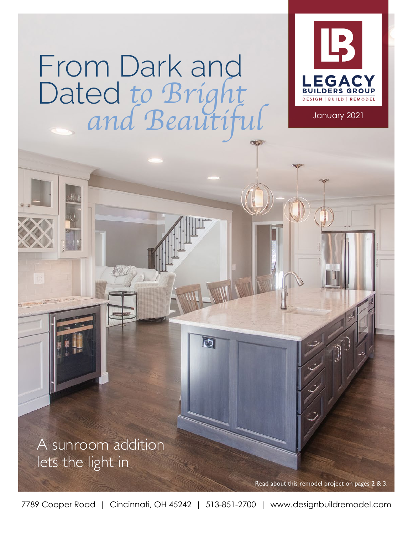# *to Bright and Beautiful* From Dark and Dated



January 2021

A sunroom addition lets the light in

Read about this remodel project on pages

7789 Cooper Road | Cincinnati, OH 45242 | 513-851-2700 | www.designbuildremodel.com

**F**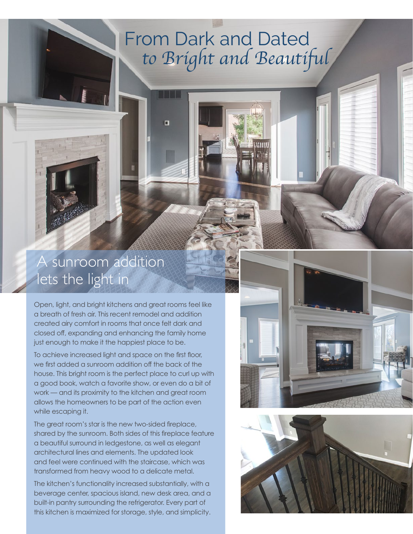### *to Bright and Beautiful* From Dark and Dated

 $\Box$ 

#### A sunroom addition lets the light in

Open, light, and bright kitchens and great rooms feel like a breath of fresh air. This recent remodel and addition created airy comfort in rooms that once felt dark and closed off, expanding and enhancing the family home just enough to make it the happiest place to be.

To achieve increased light and space on the first floor, we first added a sunroom addition off the back of the house. This bright room is the perfect place to curl up with a good book, watch a favorite show, or even do a bit of work — and its proximity to the kitchen and great room allows the homeowners to be part of the action even while escaping it.

The great room's star is the new two-sided fireplace, shared by the sunroom. Both sides of this fireplace feature a beautiful surround in ledgestone, as well as elegant architectural lines and elements. The updated look and feel were continued with the staircase, which was transformed from heavy wood to a delicate metal.

The kitchen's functionality increased substantially, with a beverage center, spacious island, new desk area, and a built-in pantry surrounding the refrigerator. Every part of this kitchen is maximized for storage, style, and simplicity.



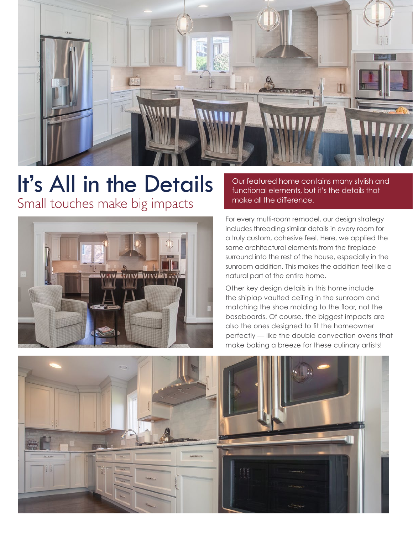

## It's All in the Details

Small touches make big impacts



Our featured home contains many stylish and functional elements, but it's the details that make all the difference.

For every multi-room remodel, our design strategy includes threading similar details in every room for a truly custom, cohesive feel. Here, we applied the same architectural elements from the fireplace surround into the rest of the house, especially in the sunroom addition. This makes the addition feel like a natural part of the entire home.

Other key design details in this home include the shiplap vaulted ceiling in the sunroom and matching the shoe molding to the floor, not the baseboards. Of course, the biggest impacts are also the ones designed to fit the homeowner perfectly — like the double convection ovens that make baking a breeze for these culinary artists!